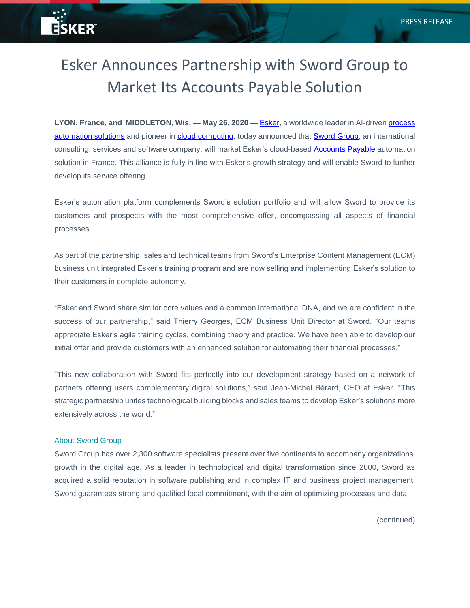## Esker Announces Partnership with Sword Group to Market Its Accounts Payable Solution

**LYON, France, and MIDDLETON, Wis. — May 26, 2020 —** [Esker,](https://www.esker.com/?utm_source=business-wire&utm_medium=referral&utm_campaign=SwordGroup&utm_content=press-release) a worldwide leader in AI-driven [process](https://www.esker.com/technology-solutions/artificial-intelligence/?utm_source=business-wire&utm_medium=referral&utm_campaign=SwordGroup&utm_content=press-release) [automation solutions](https://www.esker.com/technology-solutions/artificial-intelligence/?utm_source=business-wire&utm_medium=referral&utm_campaign=SwordGroup&utm_content=press-release) and pioneer in [cloud computing,](https://www.esker.com/technology-solutions/cloud-technology-platform?utm_source=business-wire&utm_medium=referral&utm_campaign=SwordGroup&utm_content=press-release) today announced that [Sword Group,](https://www.sword-group.com/en/) an international consulting, services and software company, will market Esker's cloud-based [Accounts Payable](https://www.esker.com/business-process-solutions/procure-pay/accounts-payable-automation-software/?utm_source=business-wire&utm_medium=referral&utm_campaign=SwordGroup&utm_content=press-release) automation solution in France. This alliance is fully in line with Esker's growth strategy and will enable Sword to further develop its service offering.

Esker's automation platform complements Sword's solution portfolio and will allow Sword to provide its customers and prospects with the most comprehensive offer, encompassing all aspects of financial processes.

As part of the partnership, sales and technical teams from Sword's Enterprise Content Management (ECM) business unit integrated Esker's training program and are now selling and implementing Esker's solution to their customers in complete autonomy.

"Esker and Sword share similar core values and a common international DNA, and we are confident in the success of our partnership," said Thierry Georges, ECM Business Unit Director at Sword. "Our teams appreciate Esker's agile training cycles, combining theory and practice. We have been able to develop our initial offer and provide customers with an enhanced solution for automating their financial processes."

"This new collaboration with Sword fits perfectly into our development strategy based on a network of partners offering users complementary digital solutions," said Jean-Michel Bérard, CEO at Esker. "This strategic partnership unites technological building blocks and sales teams to develop Esker's solutions more extensively across the world."

## About Sword Group

a - 5

**ESKER®** 

Sword Group has over 2,300 software specialists present over five continents to accompany organizations' growth in the digital age. As a leader in technological and digital transformation since 2000, Sword as acquired a solid reputation in software publishing and in complex IT and business project management. Sword guarantees strong and qualified local commitment, with the aim of optimizing processes and data.

(continued)